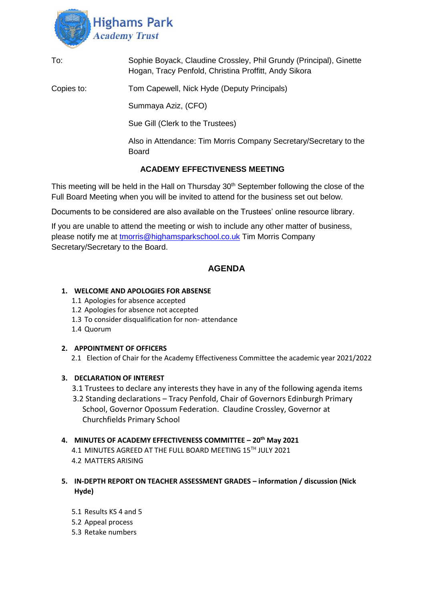

| To: | Sophie Boyack, Claudine Crossley, Phil Grundy (Principal), Ginette |
|-----|--------------------------------------------------------------------|
|     | Hogan, Tracy Penfold, Christina Proffitt, Andy Sikora              |

Copies to: Tom Capewell, Nick Hyde (Deputy Principals)

Summaya Aziz, (CFO)

Sue Gill (Clerk to the Trustees)

Also in Attendance: Tim Morris Company Secretary/Secretary to the Board

# **ACADEMY EFFECTIVENESS MEETING**

This meeting will be held in the Hall on Thursday  $30<sup>th</sup>$  September following the close of the Full Board Meeting when you will be invited to attend for the business set out below.

Documents to be considered are also available on the Trustees' online resource library.

If you are unable to attend the meeting or wish to include any other matter of business, please notify me at [tmorris@highamsparkschool.co.uk](mailto:tmorris@highamsparkschool.co.uk) Tim Morris Company Secretary/Secretary to the Board.

# **AGENDA**

### **1. WELCOME AND APOLOGIES FOR ABSENSE**

- 1.1 Apologies for absence accepted
- 1.2 Apologies for absence not accepted
- 1.3 To consider disqualification for non- attendance
- 1.4 Quorum

## **2. APPOINTMENT OF OFFICERS**

2.1 Election of Chair for the Academy Effectiveness Committee the academic year 2021/2022

### **3. DECLARATION OF INTEREST**

- 3.1 Trustees to declare any interests they have in any of the following agenda items
- 3.2 Standing declarations Tracy Penfold, Chair of Governors Edinburgh Primary School, Governor Opossum Federation. Claudine Crossley, Governor at Churchfields Primary School

#### **4. MINUTES OF ACADEMY EFFECTIVENESS COMMITTEE – 20th May 2021**

- 4.1 MINUTES AGREED AT THE FULL BOARD MEETING 15TH JULY 2021 4.2 MATTERS ARISING
- **5. IN-DEPTH REPORT ON TEACHER ASSESSMENT GRADES – information / discussion (Nick Hyde)**
	- 5.1 Results KS 4 and 5
	- 5.2 Appeal process
	- 5.3 Retake numbers